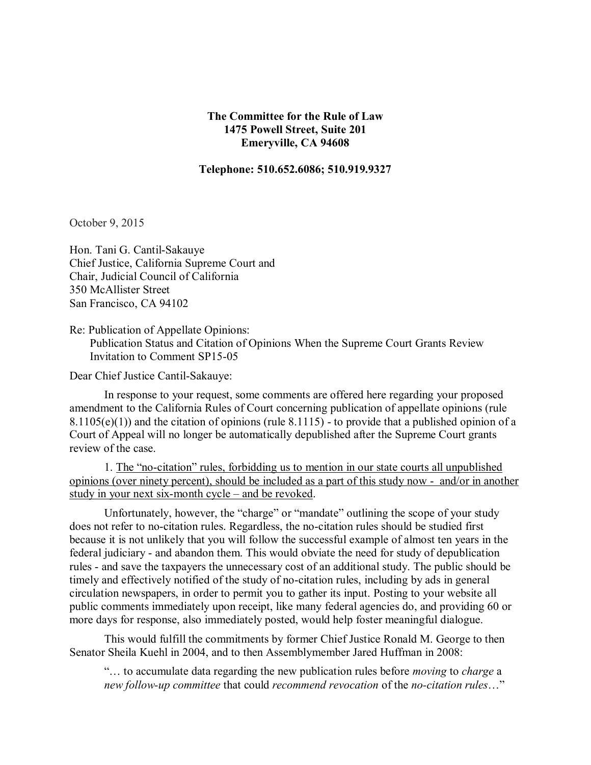## **The Committee for the Rule of Law 1475 Powell Street, Suite 201 Emeryville, CA 94608**

## **Telephone: 510.652.6086; 510.919.9327**

October 9, 2015

Hon. Tani G. Cantil-Sakauye Chief Justice, California Supreme Court and Chair, Judicial Council of California 350 McAllister Street San Francisco, CA 94102

Re: Publication of Appellate Opinions:

 Publication Status and Citation of Opinions When the Supreme Court Grants Review Invitation to Comment SP15-05

Dear Chief Justice Cantil-Sakauye:

In response to your request, some comments are offered here regarding your proposed amendment to the California Rules of Court concerning publication of appellate opinions (rule  $8.1105(e)(1)$ ) and the citation of opinions (rule  $8.1115$ ) - to provide that a published opinion of a Court of Appeal will no longer be automatically depublished after the Supreme Court grants review of the case.

1. The "no-citation" rules, forbidding us to mention in our state courts all unpublished opinions (over ninety percent), should be included as a part of this study now - and/or in another study in your next six-month cycle – and be revoked.

Unfortunately, however, the "charge" or "mandate" outlining the scope of your study does not refer to no-citation rules. Regardless, the no-citation rules should be studied first because it is not unlikely that you will follow the successful example of almost ten years in the federal judiciary - and abandon them. This would obviate the need for study of depublication rules - and save the taxpayers the unnecessary cost of an additional study. The public should be timely and effectively notified of the study of no-citation rules, including by ads in general circulation newspapers, in order to permit you to gather its input. Posting to your website all public comments immediately upon receipt, like many federal agencies do, and providing 60 or more days for response, also immediately posted, would help foster meaningful dialogue.

This would fulfill the commitments by former Chief Justice Ronald M. George to then Senator Sheila Kuehl in 2004, and to then Assemblymember Jared Huffman in 2008:

"… to accumulate data regarding the new publication rules before *moving* to *charge* a *new follow-up committee* that could *recommend revocation* of the *no-citation rules*…"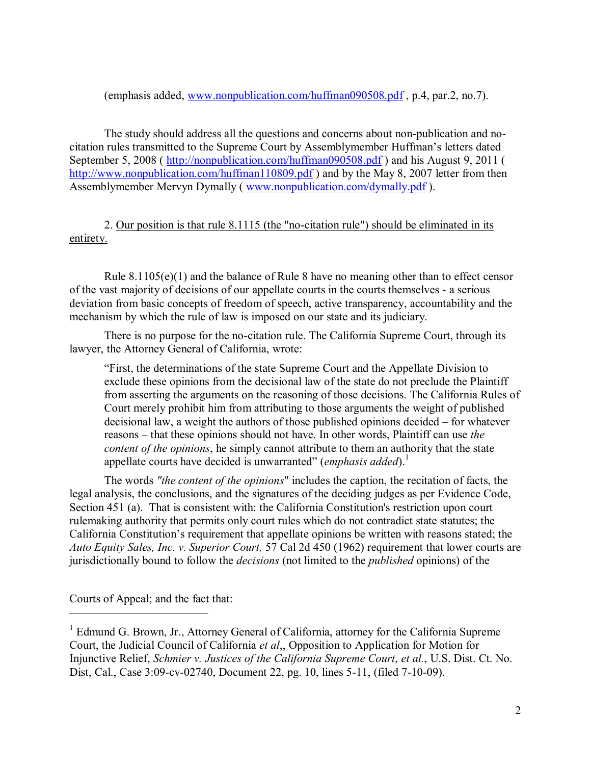(emphasis added, [www.nonpublication.com/huffman090508.pdf](http://www.nonpublication.com/huffman090508.pdf) , p.4, par.2, no.7).

The study should address all the questions and concerns about non-publication and nocitation rules transmitted to the Supreme Court by Assemblymember Huffman's letters dated September 5, 2008 ( <http://nonpublication.com/huffman090508.pdf>) and his August 9, 2011 ( <http://www.nonpublication.com/huffman110809.pdf>) and by the May 8, 2007 letter from then Assemblymember Mervyn Dymally ( [www.nonpublication.com/dymally.pdf](http://www.nonpublication.com/dymally.pdf) ).

2. Our position is that rule 8.1115 (the "no-citation rule") should be eliminated in its entirety.

Rule 8.1105(e)(1) and the balance of Rule 8 have no meaning other than to effect censor of the vast majority of decisions of our appellate courts in the courts themselves - a serious deviation from basic concepts of freedom of speech, active transparency, accountability and the mechanism by which the rule of law is imposed on our state and its judiciary.

There is no purpose for the no-citation rule. The California Supreme Court, through its lawyer, the Attorney General of California, wrote:

"First, the determinations of the state Supreme Court and the Appellate Division to exclude these opinions from the decisional law of the state do not preclude the Plaintiff from asserting the arguments on the reasoning of those decisions. The California Rules of Court merely prohibit him from attributing to those arguments the weight of published decisional law, a weight the authors of those published opinions decided – for whatever reasons – that these opinions should not have. In other words, Plaintiff can use *the content of the opinions*, he simply cannot attribute to them an authority that the state appellate courts have decided is unwarranted" (*emphasis added*). 1

The words *"the content of the opinions*" includes the caption, the recitation of facts, the legal analysis, the conclusions, and the signatures of the deciding judges as per Evidence Code, Section 451 (a). That is consistent with: the California Constitution's restriction upon court rulemaking authority that permits only court rules which do not contradict state statutes; the California Constitution's requirement that appellate opinions be written with reasons stated; the *Auto Equity Sales, Inc. v. Superior Court,* 57 Cal 2d 450 (1962) requirement that lower courts are jurisdictionally bound to follow the *decisions* (not limited to the *published* opinions) of the

Courts of Appeal; and the fact that:

 $\overline{a}$ 

<sup>&</sup>lt;sup>1</sup> Edmund G. Brown, Jr., Attorney General of California, attorney for the California Supreme Court, the Judicial Council of California *et al*,, Opposition to Application for Motion for Injunctive Relief, *Schmier v. Justices of the California Supreme Court*, *et al.*, U.S. Dist. Ct. No. Dist, Cal., Case 3:09-cv-02740, Document 22, pg. 10, lines 5-11, (filed 7-10-09).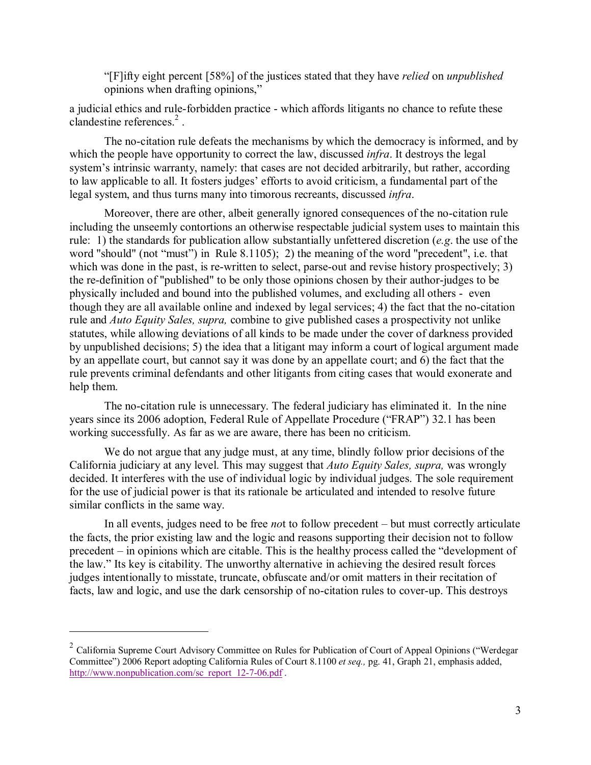"[F]ifty eight percent [58%] of the justices stated that they have *relied* on *unpublished* opinions when drafting opinions,"

a judicial ethics and rule-forbidden practice - which affords litigants no chance to refute these clandestine references. 2 .

The no-citation rule defeats the mechanisms by which the democracy is informed, and by which the people have opportunity to correct the law, discussed *infra*. It destroys the legal system's intrinsic warranty, namely: that cases are not decided arbitrarily, but rather, according to law applicable to all. It fosters judges' efforts to avoid criticism, a fundamental part of the legal system, and thus turns many into timorous recreants, discussed *infra*.

Moreover, there are other, albeit generally ignored consequences of the no-citation rule including the unseemly contortions an otherwise respectable judicial system uses to maintain this rule: 1) the standards for publication allow substantially unfettered discretion (*e.g*. the use of the word "should" (not "must") in Rule 8.1105); 2) the meaning of the word "precedent", i.e. that which was done in the past, is re-written to select, parse-out and revise history prospectively; 3) the re-definition of "published" to be only those opinions chosen by their author-judges to be physically included and bound into the published volumes, and excluding all others - even though they are all available online and indexed by legal services; 4) the fact that the no-citation rule and *Auto Equity Sales, supra,* combine to give published cases a prospectivity not unlike statutes, while allowing deviations of all kinds to be made under the cover of darkness provided by unpublished decisions; 5) the idea that a litigant may inform a court of logical argument made by an appellate court, but cannot say it was done by an appellate court; and 6) the fact that the rule prevents criminal defendants and other litigants from citing cases that would exonerate and help them.

The no-citation rule is unnecessary. The federal judiciary has eliminated it. In the nine years since its 2006 adoption, Federal Rule of Appellate Procedure ("FRAP") 32.1 has been working successfully. As far as we are aware, there has been no criticism.

We do not argue that any judge must, at any time, blindly follow prior decisions of the California judiciary at any level. This may suggest that *Auto Equity Sales, supra,* was wrongly decided. It interferes with the use of individual logic by individual judges. The sole requirement for the use of judicial power is that its rationale be articulated and intended to resolve future similar conflicts in the same way.

In all events, judges need to be free *no*t to follow precedent – but must correctly articulate the facts, the prior existing law and the logic and reasons supporting their decision not to follow precedent – in opinions which are citable. This is the healthy process called the "development of the law." Its key is citability. The unworthy alternative in achieving the desired result forces judges intentionally to misstate, truncate, obfuscate and/or omit matters in their recitation of facts, law and logic, and use the dark censorship of no-citation rules to cover-up. This destroys

 $\overline{a}$ 

<sup>&</sup>lt;sup>2</sup> California Supreme Court Advisory Committee on Rules for Publication of Court of Appeal Opinions ("Werdegar Committee") 2006 Report adopting California Rules of Court 8.1100 *et seq.,* pg. 41, Graph 21, emphasis added, [http://www.nonpublication.com/sc\\_report\\_12-7-06.pdf](http://www.nonpublication.com/sc_report_12-7-06.pdf).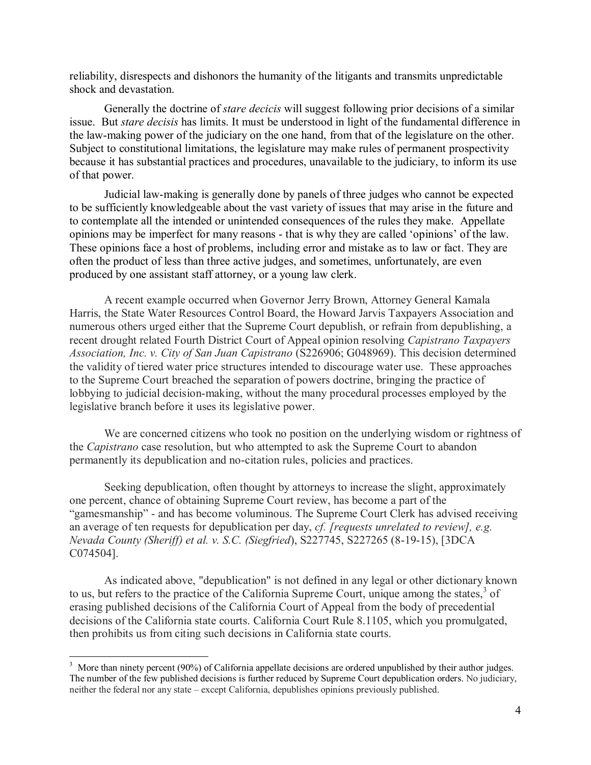reliability, disrespects and dishonors the humanity of the litigants and transmits unpredictable shock and devastation.

Generally the doctrine of *stare decicis* will suggest following prior decisions of a similar issue. But *stare decisis* has limits. It must be understood in light of the fundamental difference in the law-making power of the judiciary on the one hand, from that of the legislature on the other. Subject to constitutional limitations, the legislature may make rules of permanent prospectivity because it has substantial practices and procedures, unavailable to the judiciary, to inform its use of that power.

Judicial law-making is generally done by panels of three judges who cannot be expected to be sufficiently knowledgeable about the vast variety of issues that may arise in the future and to contemplate all the intended or unintended consequences of the rules they make. Appellate opinions may be imperfect for many reasons - that is why they are called 'opinions' of the law. These opinions face a host of problems, including error and mistake as to law or fact. They are often the product of less than three active judges, and sometimes, unfortunately, are even produced by one assistant staff attorney, or a young law clerk.

A recent example occurred when Governor Jerry Brown, Attorney General Kamala Harris, the State Water Resources Control Board, the Howard Jarvis Taxpayers Association and numerous others urged either that the Supreme Court depublish, or refrain from depublishing, a recent drought related Fourth District Court of Appeal opinion resolving *Capistrano Taxpayers Association, Inc. v. City of San Juan Capistrano* (S226906; G048969). This decision determined the validity of tiered water price structures intended to discourage water use. These approaches to the Supreme Court breached the separation of powers doctrine, bringing the practice of lobbying to judicial decision-making, without the many procedural processes employed by the legislative branch before it uses its legislative power.

We are concerned citizens who took no position on the underlying wisdom or rightness of the *Capistrano* case resolution, but who attempted to ask the Supreme Court to abandon permanently its depublication and no-citation rules, policies and practices.

Seeking depublication, often thought by attorneys to increase the slight, approximately one percent, chance of obtaining Supreme Court review, has become a part of the "gamesmanship" - and has become voluminous. The Supreme Court Clerk has advised receiving an average of ten requests for depublication per day, *cf. [requests unrelated to review], e.g. Nevada County (Sheriff) et al. v. S.C. (Siegfried*), S227745, S227265 (8-19-15), [3DCA C074504].

As indicated above, "depublication" is not defined in any legal or other dictionary known to us, but refers to the practice of the California Supreme Court, unique among the states, $3$  of erasing published decisions of the California Court of Appeal from the body of precedential decisions of the California state courts. California Court Rule 8.1105, which you promulgated, then prohibits us from citing such decisions in California state courts.

 $\overline{a}$  $3$  More than ninety percent (90%) of California appellate decisions are ordered unpublished by their author judges. The number of the few published decisions is further reduced by Supreme Court depublication orders. No judiciary, neither the federal nor any state – except California, depublishes opinions previously published.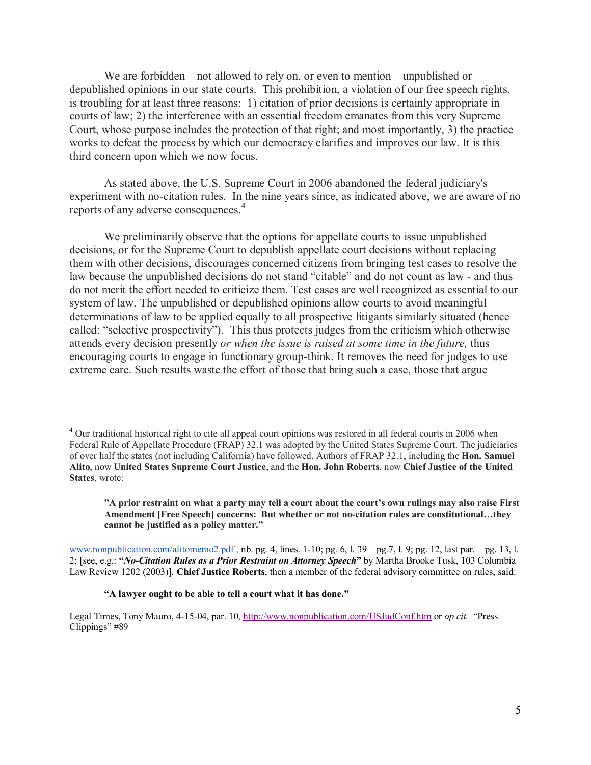We are forbidden – not allowed to rely on, or even to mention – unpublished or depublished opinions in our state courts. This prohibition, a violation of our free speech rights, is troubling for at least three reasons: 1) citation of prior decisions is certainly appropriate in courts of law; 2) the interference with an essential freedom emanates from this very Supreme Court, whose purpose includes the protection of that right; and most importantly, 3) the practice works to defeat the process by which our democracy clarifies and improves our law. It is this third concern upon which we now focus.

As stated above, the U.S. Supreme Court in 2006 abandoned the federal judiciary's experiment with no-citation rules. In the nine years since, as indicated above, we are aware of no reports of any adverse consequences.<sup>4</sup>

We preliminarily observe that the options for appellate courts to issue unpublished decisions, or for the Supreme Court to depublish appellate court decisions without replacing them with other decisions, discourages concerned citizens from bringing test cases to resolve the law because the unpublished decisions do not stand "citable" and do not count as law - and thus do not merit the effort needed to criticize them. Test cases are well recognized as essential to our system of law. The unpublished or depublished opinions allow courts to avoid meaningful determinations of law to be applied equally to all prospective litigants similarly situated (hence called: "selective prospectivity"). This thus protects judges from the criticism which otherwise attends every decision presently *or when the issue is raised at some time in the future,* thus encouraging courts to engage in functionary group-think. It removes the need for judges to use extreme care. Such results waste the effort of those that bring such a case, those that argue

**"A prior restraint on what a party may tell a court about the court's own rulings may also raise First Amendment [Free Speech] concerns: But whether or not no-citation rules are constitutional…they cannot be justified as a policy matter."**

[www.nonpublication.com/alitomemo2.pdf](http://www.nonpublication.com/alitomemo2.pdf) , nb. pg. 4, lines. 1-10; pg. 6, l. 39 – pg.7, l. 9; pg. 12, last par. – pg. 13, l. 2; [see, e.g.: **"***No-Citation Rules as a Prior Restraint on Attorney Speech***"** by Martha Brooke Tusk, 103 Columbia Law Review 1202 (2003)]. **Chief Justice Roberts**, then a member of the federal advisory committee on rules, said:

-

<sup>&</sup>lt;sup>4</sup> Our traditional historical right to cite all appeal court opinions was restored in all federal courts in 2006 when Federal Rule of Appellate Procedure (FRAP) 32.1 was adopted by the United States Supreme Court. The judiciaries of over half the states (not including California) have followed. Authors of FRAP 32.1, including the **Hon. Samuel Alito**, now **United States Supreme Court Justice**, and the **Hon. John Roberts**, now **Chief Justice of the United States**, wrote:

**<sup>&</sup>quot;A lawyer ought to be able to tell a court what it has done."**

Legal Times, Tony Mauro, 4-15-04, par. 10,<http://www.nonpublication.com/USJudConf.htm> or *op cit.* "Press Clippings" #89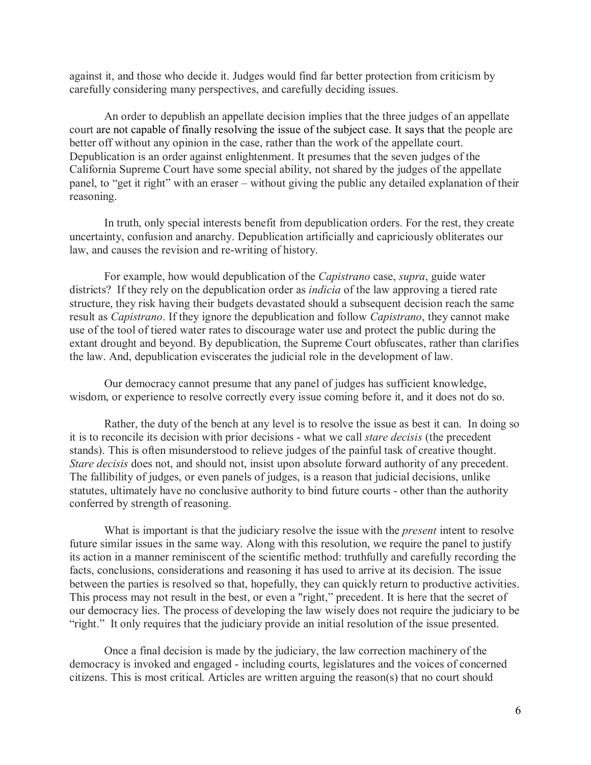against it, and those who decide it. Judges would find far better protection from criticism by carefully considering many perspectives, and carefully deciding issues.

An order to depublish an appellate decision implies that the three judges of an appellate court are not capable of finally resolving the issue of the subject case. It says that the people are better off without any opinion in the case, rather than the work of the appellate court. Depublication is an order against enlightenment. It presumes that the seven judges of the California Supreme Court have some special ability, not shared by the judges of the appellate panel, to "get it right" with an eraser – without giving the public any detailed explanation of their reasoning.

In truth, only special interests benefit from depublication orders. For the rest, they create uncertainty, confusion and anarchy. Depublication artificially and capriciously obliterates our law, and causes the revision and re-writing of history.

For example, how would depublication of the *Capistrano* case, *supra*, guide water districts? If they rely on the depublication order as *indicia* of the law approving a tiered rate structure, they risk having their budgets devastated should a subsequent decision reach the same result as *Capistrano*. If they ignore the depublication and follow *Capistrano*, they cannot make use of the tool of tiered water rates to discourage water use and protect the public during the extant drought and beyond. By depublication, the Supreme Court obfuscates, rather than clarifies the law. And, depublication eviscerates the judicial role in the development of law.

Our democracy cannot presume that any panel of judges has sufficient knowledge, wisdom, or experience to resolve correctly every issue coming before it, and it does not do so.

Rather, the duty of the bench at any level is to resolve the issue as best it can. In doing so it is to reconcile its decision with prior decisions - what we call *stare decisis* (the precedent stands). This is often misunderstood to relieve judges of the painful task of creative thought. *Stare decisis* does not, and should not, insist upon absolute forward authority of any precedent. The fallibility of judges, or even panels of judges, is a reason that judicial decisions, unlike statutes, ultimately have no conclusive authority to bind future courts - other than the authority conferred by strength of reasoning.

What is important is that the judiciary resolve the issue with the *present* intent to resolve future similar issues in the same way. Along with this resolution, we require the panel to justify its action in a manner reminiscent of the scientific method: truthfully and carefully recording the facts, conclusions, considerations and reasoning it has used to arrive at its decision. The issue between the parties is resolved so that, hopefully, they can quickly return to productive activities. This process may not result in the best, or even a "right," precedent. It is here that the secret of our democracy lies. The process of developing the law wisely does not require the judiciary to be "right." It only requires that the judiciary provide an initial resolution of the issue presented.

Once a final decision is made by the judiciary, the law correction machinery of the democracy is invoked and engaged - including courts, legislatures and the voices of concerned citizens. This is most critical. Articles are written arguing the reason(s) that no court should